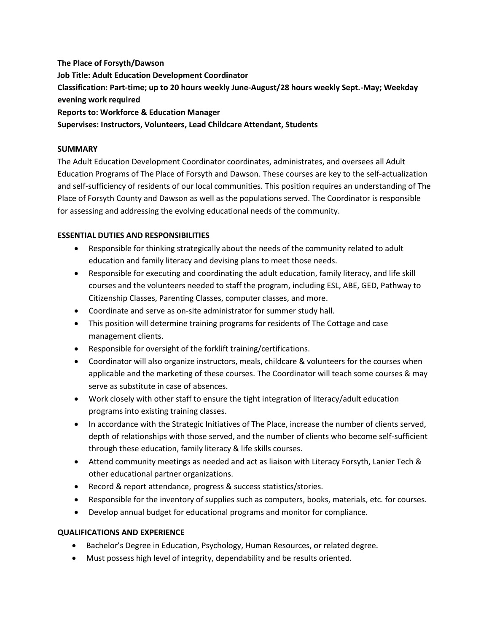**The Place of Forsyth/Dawson Job Title: Adult Education Development Coordinator Classification: Part-time; up to 20 hours weekly June-August/28 hours weekly Sept.-May; Weekday evening work required Reports to: Workforce & Education Manager Supervises: Instructors, Volunteers, Lead Childcare Attendant, Students**

#### **SUMMARY**

The Adult Education Development Coordinator coordinates, administrates, and oversees all Adult Education Programs of The Place of Forsyth and Dawson. These courses are key to the self-actualization and self-sufficiency of residents of our local communities. This position requires an understanding of The Place of Forsyth County and Dawson as well as the populations served. The Coordinator is responsible for assessing and addressing the evolving educational needs of the community.

#### **ESSENTIAL DUTIES AND RESPONSIBILITIES**

- Responsible for thinking strategically about the needs of the community related to adult education and family literacy and devising plans to meet those needs.
- Responsible for executing and coordinating the adult education, family literacy, and life skill courses and the volunteers needed to staff the program, including ESL, ABE, GED, Pathway to Citizenship Classes, Parenting Classes, computer classes, and more.
- Coordinate and serve as on-site administrator for summer study hall.
- This position will determine training programs for residents of The Cottage and case management clients.
- Responsible for oversight of the forklift training/certifications.
- Coordinator will also organize instructors, meals, childcare & volunteers for the courses when applicable and the marketing of these courses. The Coordinator will teach some courses & may serve as substitute in case of absences.
- Work closely with other staff to ensure the tight integration of literacy/adult education programs into existing training classes.
- In accordance with the Strategic Initiatives of The Place, increase the number of clients served, depth of relationships with those served, and the number of clients who become self-sufficient through these education, family literacy & life skills courses.
- Attend community meetings as needed and act as liaison with Literacy Forsyth, Lanier Tech & other educational partner organizations.
- Record & report attendance, progress & success statistics/stories.
- Responsible for the inventory of supplies such as computers, books, materials, etc. for courses.
- Develop annual budget for educational programs and monitor for compliance.

#### **QUALIFICATIONS AND EXPERIENCE**

- Bachelor's Degree in Education, Psychology, Human Resources, or related degree.
- Must possess high level of integrity, dependability and be results oriented.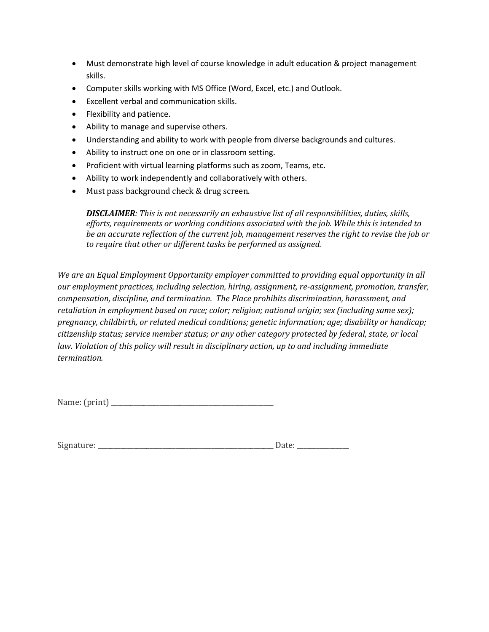- Must demonstrate high level of course knowledge in adult education & project management skills.
- Computer skills working with MS Office (Word, Excel, etc.) and Outlook.
- Excellent verbal and communication skills.
- Flexibility and patience.
- Ability to manage and supervise others.
- Understanding and ability to work with people from diverse backgrounds and cultures.
- Ability to instruct one on one or in classroom setting.
- Proficient with virtual learning platforms such as zoom, Teams, etc.
- Ability to work independently and collaboratively with others.
- Must pass background check & drug screen.

*DISCLAIMER: This is not necessarily an exhaustive list of all responsibilities, duties, skills, efforts, requirements or working conditions associated with the job. While this is intended to be an accurate reflection of the current job, management reserves the right to revise the job or to require that other or different tasks be performed as assigned.* 

*We are an Equal Employment Opportunity employer committed to providing equal opportunity in all our employment practices, including selection, hiring, assignment, re-assignment, promotion, transfer, compensation, discipline, and termination. The Place prohibits discrimination, harassment, and retaliation in employment based on race; color; religion; national origin; sex (including same sex); pregnancy, childbirth, or related medical conditions; genetic information; age; disability or handicap; citizenship status; service member status; or any other category protected by federal, state, or local law. Violation of this policy will result in disciplinary action, up to and including immediate termination.*

Name: (print) \_\_\_\_\_\_\_\_\_\_\_\_\_\_\_\_\_\_\_\_\_\_\_\_\_\_\_\_\_\_\_\_\_\_\_\_\_\_\_\_\_\_\_\_\_\_\_\_\_\_

Signature: \_\_\_\_\_\_\_\_\_\_\_\_\_\_\_\_\_\_\_\_\_\_\_\_\_\_\_\_\_\_\_\_\_\_\_\_\_\_\_\_\_\_\_\_\_\_\_\_\_\_\_\_\_\_ Date: \_\_\_\_\_\_\_\_\_\_\_\_\_\_\_\_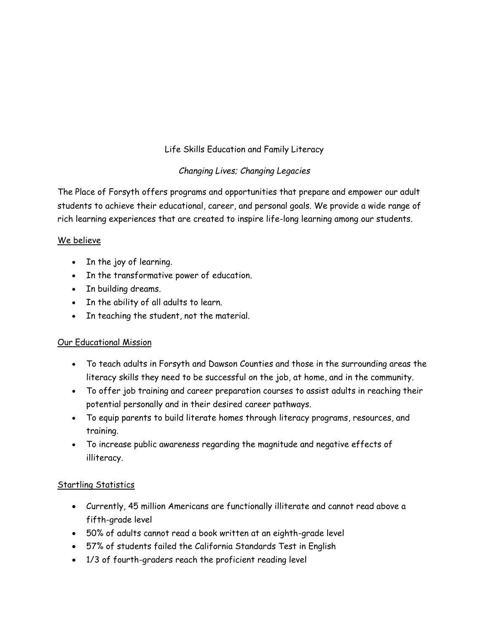# Life Skills Education and Family Literacy

## *Changing Lives; Changing Legacies*

The Place of Forsyth offers programs and opportunities that prepare and empower our adult students to achieve their educational, career, and personal goals. We provide a wide range of rich learning experiences that are created to inspire life-long learning among our students.

### We believe

- In the joy of learning.
- In the transformative power of education.
- In building dreams.
- In the ability of all adults to learn.
- In teaching the student, not the material.

### Our Educational Mission

- To teach adults in Forsyth and Dawson Counties and those in the surrounding areas the literacy skills they need to be successful on the job, at home, and in the community.
- To offer job training and career preparation courses to assist adults in reaching their potential personally and in their desired career pathways.
- To equip parents to build literate homes through literacy programs, resources, and training.
- To increase public awareness regarding the magnitude and negative effects of illiteracy.

### Startling Statistics

- Currently, 45 million Americans are functionally illiterate and cannot read above a fifth-grade level
- 50% of adults cannot read a book written at an eighth-grade level
- 57% of students failed the California Standards Test in English
- 1/3 of fourth-graders reach the proficient reading level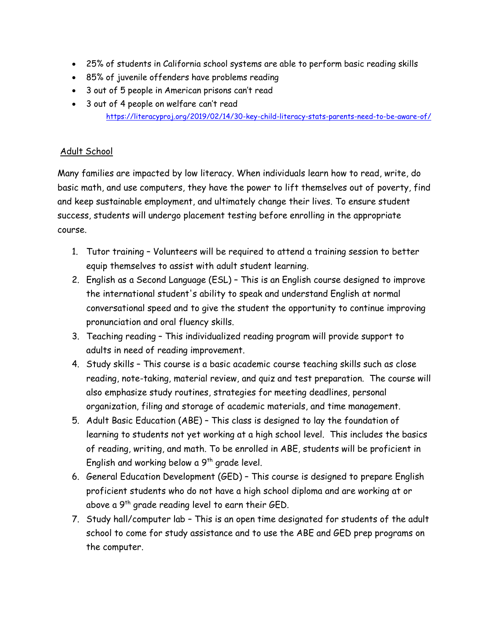- 25% of students in California school systems are able to perform basic reading skills
- 85% of juvenile offenders have problems reading
- 3 out of 5 people in American prisons can't read
- 3 out of 4 people on welfare can't read <https://literacyproj.org/2019/02/14/30-key-child-literacy-stats-parents-need-to-be-aware-of/>

## Adult School

Many families are impacted by low literacy. When individuals learn how to read, write, do basic math, and use computers, they have the power to lift themselves out of poverty, find and keep sustainable employment, and ultimately change their lives. To ensure student success, students will undergo placement testing before enrolling in the appropriate course.

- 1. Tutor training Volunteers will be required to attend a training session to better equip themselves to assist with adult student learning.
- 2. English as a Second Language (ESL) This is an English course designed to improve the international student's ability to speak and understand English at normal conversational speed and to give the student the opportunity to continue improving pronunciation and oral fluency skills.
- 3. Teaching reading This individualized reading program will provide support to adults in need of reading improvement.
- 4. Study skills This course is a basic academic course teaching skills such as close reading, note-taking, material review, and quiz and test preparation. The course will also emphasize study routines, strategies for meeting deadlines, personal organization, filing and storage of academic materials, and time management.
- 5. Adult Basic Education (ABE) This class is designed to lay the foundation of learning to students not yet working at a high school level. This includes the basics of reading, writing, and math. To be enrolled in ABE, students will be proficient in English and working below a  $9<sup>th</sup>$  grade level.
- 6. General Education Development (GED) This course is designed to prepare English proficient students who do not have a high school diploma and are working at or above a 9<sup>th</sup> grade reading level to earn their GED.
- 7. Study hall/computer lab This is an open time designated for students of the adult school to come for study assistance and to use the ABE and GED prep programs on the computer.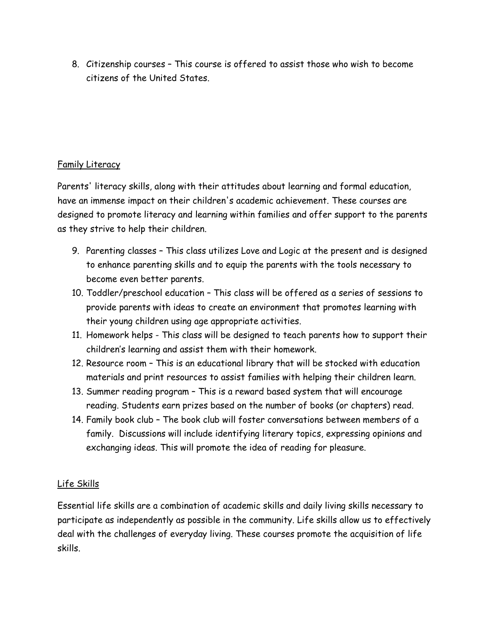8. Citizenship courses – This course is offered to assist those who wish to become citizens of the United States.

## Family Literacy

Parents' literacy skills, along with their attitudes about learning and formal education, have an immense impact on their children's academic achievement. These courses are designed to promote literacy and learning within families and offer support to the parents as they strive to help their children.

- 9. Parenting classes This class utilizes Love and Logic at the present and is designed to enhance parenting skills and to equip the parents with the tools necessary to become even better parents.
- 10. Toddler/preschool education This class will be offered as a series of sessions to provide parents with ideas to create an environment that promotes learning with their young children using age appropriate activities.
- 11. Homework helps This class will be designed to teach parents how to support their children's learning and assist them with their homework.
- 12. Resource room This is an educational library that will be stocked with education materials and print resources to assist families with helping their children learn.
- 13. Summer reading program This is a reward based system that will encourage reading. Students earn prizes based on the number of books (or chapters) read.
- 14. Family book club The book club will foster conversations between members of a family. Discussions will include identifying literary topics, expressing opinions and exchanging ideas. This will promote the idea of reading for pleasure.

## Life Skills

Essential life skills are a combination of academic skills and daily living skills necessary to participate as independently as possible in the community. Life skills allow us to effectively deal with the challenges of everyday living. These courses promote the acquisition of life skills.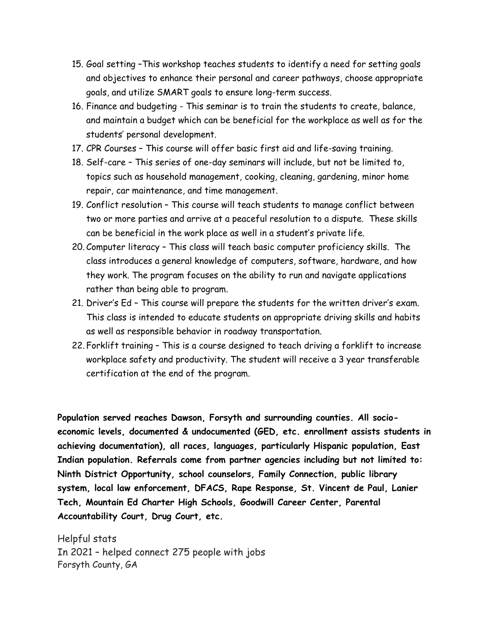- 15. Goal setting –This workshop teaches students to identify a need for setting goals and objectives to enhance their personal and career pathways, choose appropriate goals, and utilize SMART goals to ensure long-term success.
- 16. Finance and budgeting This seminar is to train the students to create, balance, and maintain a budget which can be beneficial for the workplace as well as for the students' personal development.
- 17. CPR Courses This course will offer basic first aid and life-saving training.
- 18. Self-care This series of one-day seminars will include, but not be limited to, topics such as household management, cooking, cleaning, gardening, minor home repair, car maintenance, and time management.
- 19. Conflict resolution This course will teach students to manage conflict between two or more parties and arrive at a peaceful resolution to a dispute. These skills can be beneficial in the work place as well in a student's private life.
- 20. Computer literacy This class will teach basic computer proficiency skills. The class introduces a general knowledge of [computers,](https://www.computerhope.com/jargon/c/computer.htm) [software,](https://www.computerhope.com/jargon/s/software.htm) [hardware,](https://www.computerhope.com/jargon/h/hardware.htm) and how they work. The program focuses on the ability to run and navigate [applications](https://www.computerhope.com/jargon/a/application.htm) rather than being able to [program.](https://www.computerhope.com/jargon/p/programming.htm)
- 21. Driver's Ed This course will prepare the students for the written driver's exam. This class is intended to educate students on appropriate driving skills and habits as well as responsible behavior in roadway transportation.
- 22. Forklift training This is a course designed to teach driving a forklift to increase workplace safety and productivity. The student will receive a 3 year transferable certification at the end of the program.

**Population served reaches Dawson, Forsyth and surrounding counties. All socioeconomic levels, documented & undocumented (GED, etc. enrollment assists students in achieving documentation), all races, languages, particularly Hispanic population, East Indian population. Referrals come from partner agencies including but not limited to: Ninth District Opportunity, school counselors, Family Connection, public library system, local law enforcement, DFACS, Rape Response, St. Vincent de Paul, Lanier Tech, Mountain Ed Charter High Schools, Goodwill Career Center, Parental Accountability Court, Drug Court, etc.**

Helpful stats In 2021 – helped connect 275 people with jobs Forsyth County, GA